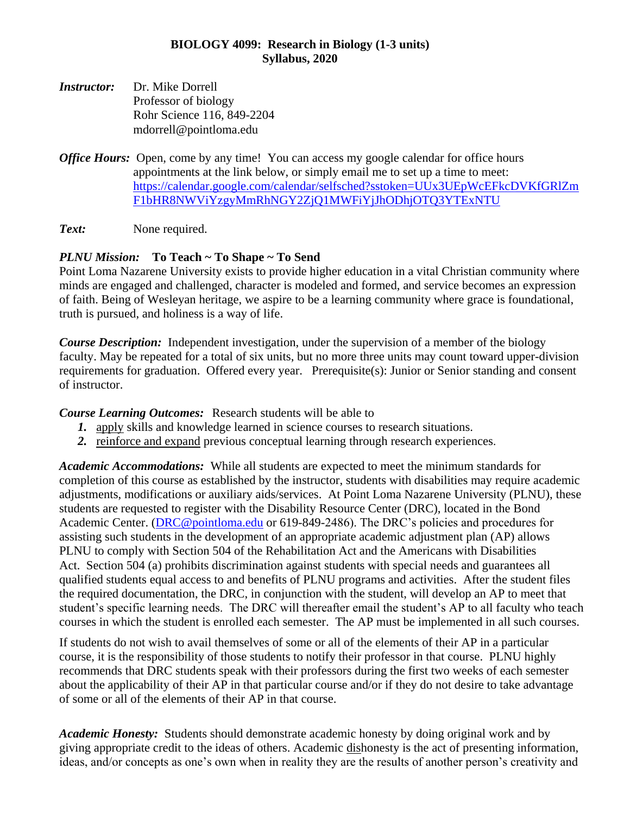## **BIOLOGY 4099: Research in Biology (1-3 units) Syllabus, 2020**

- *Instructor:* Dr. Mike Dorrell Professor of biology Rohr Science 116, 849-2204 mdorrell@pointloma.edu
- *Office Hours:* Open, come by any time! You can access my google calendar for office hours appointments at the link below, or simply email me to set up a time to meet: [https://calendar.google.com/calendar/selfsched?sstoken=UUx3UEpWcEFkcDVKfGRlZm](https://calendar.google.com/calendar/selfsched?sstoken=UUx3UEpWcEFkcDVKfGRlZmF1bHR8NWViYzgyMmRhNGY2ZjQ1MWFiYjJhODhjOTQ3YTExNTU) [F1bHR8NWViYzgyMmRhNGY2ZjQ1MWFiYjJhODhjOTQ3YTExNTU](https://calendar.google.com/calendar/selfsched?sstoken=UUx3UEpWcEFkcDVKfGRlZmF1bHR8NWViYzgyMmRhNGY2ZjQ1MWFiYjJhODhjOTQ3YTExNTU)

**Text:** None required.

## *PLNU Mission:* **To Teach ~ To Shape ~ To Send**

Point Loma Nazarene University exists to provide higher education in a vital Christian community where minds are engaged and challenged, character is modeled and formed, and service becomes an expression of faith. Being of Wesleyan heritage, we aspire to be a learning community where grace is foundational, truth is pursued, and holiness is a way of life.

*Course Description:* Independent investigation, under the supervision of a member of the biology faculty. May be repeated for a total of six units, but no more three units may count toward upper-division requirements for graduation. Offered every year. Prerequisite(s): Junior or Senior standing and consent of instructor.

*Course Learning Outcomes:* Research students will be able to

- *1.* apply skills and knowledge learned in science courses to research situations.
- *2.* reinforce and expand previous conceptual learning through research experiences.

*Academic Accommodations:* While all students are expected to meet the minimum standards for completion of this course as established by the instructor, students with disabilities may require academic adjustments, modifications or auxiliary aids/services. At Point Loma Nazarene University (PLNU), these students are requested to register with the Disability Resource Center (DRC), located in the Bond Academic Center. [\(DRC@pointloma.edu](mailto:DRC@pointloma.edu) or 619-849-2486). The DRC's policies and procedures for assisting such students in the development of an appropriate academic adjustment plan (AP) allows PLNU to comply with Section 504 of the Rehabilitation Act and the Americans with Disabilities Act. Section 504 (a) prohibits discrimination against students with special needs and guarantees all qualified students equal access to and benefits of PLNU programs and activities. After the student files the required documentation, the DRC, in conjunction with the student, will develop an AP to meet that student's specific learning needs. The DRC will thereafter email the student's AP to all faculty who teach courses in which the student is enrolled each semester. The AP must be implemented in all such courses.

If students do not wish to avail themselves of some or all of the elements of their AP in a particular course, it is the responsibility of those students to notify their professor in that course. PLNU highly recommends that DRC students speak with their professors during the first two weeks of each semester about the applicability of their AP in that particular course and/or if they do not desire to take advantage of some or all of the elements of their AP in that course.

*Academic Honesty:* Students should demonstrate academic honesty by doing original work and by giving appropriate credit to the ideas of others. Academic dishonesty is the act of presenting information, ideas, and/or concepts as one's own when in reality they are the results of another person's creativity and